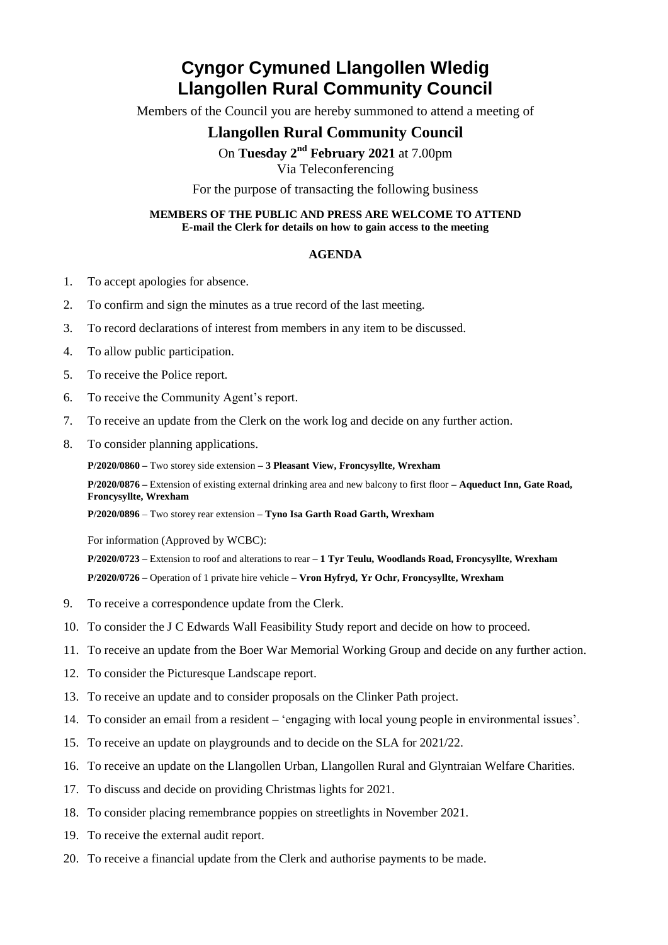# **Cyngor Cymuned Llangollen Wledig Llangollen Rural Community Council**

Members of the Council you are hereby summoned to attend a meeting of

## **Llangollen Rural Community Council**

On Tuesday 2<sup>nd</sup> February 2021 at 7.00pm

Via Teleconferencing

For the purpose of transacting the following business

#### **MEMBERS OF THE PUBLIC AND PRESS ARE WELCOME TO ATTEND E-mail the Clerk for details on how to gain access to the meeting**

### **AGENDA**

- 1. To accept apologies for absence.
- 2. To confirm and sign the minutes as a true record of the last meeting.
- 3. To record declarations of interest from members in any item to be discussed.
- 4. To allow public participation.
- 5. To receive the Police report.
- 6. To receive the Community Agent's report.
- 7. To receive an update from the Clerk on the work log and decide on any further action.
- 8. To consider planning applications.

**P/2020/0860 –** Two storey side extension **– 3 Pleasant View, Froncysyllte, Wrexham**

**P/2020/0876 –** Extension of existing external drinking area and new balcony to first floor **– Aqueduct Inn, Gate Road, Froncysyllte, Wrexham**

**P/2020/0896** – Two storey rear extension **– Tyno Isa Garth Road Garth, Wrexham**

For information (Approved by WCBC):

**P/2020/0723 –** Extension to roof and alterations to rear **– 1 Tyr Teulu, Woodlands Road, Froncysyllte, Wrexham P/2020/0726 –** Operation of 1 private hire vehicle **– Vron Hyfryd, Yr Ochr, Froncysyllte, Wrexham**

- 9. To receive a correspondence update from the Clerk.
- 10. To consider the J C Edwards Wall Feasibility Study report and decide on how to proceed.
- 11. To receive an update from the Boer War Memorial Working Group and decide on any further action.
- 12. To consider the Picturesque Landscape report.
- 13. To receive an update and to consider proposals on the Clinker Path project.
- 14. To consider an email from a resident 'engaging with local young people in environmental issues'.
- 15. To receive an update on playgrounds and to decide on the SLA for 2021/22.
- 16. To receive an update on the Llangollen Urban, Llangollen Rural and Glyntraian Welfare Charities.
- 17. To discuss and decide on providing Christmas lights for 2021.
- 18. To consider placing remembrance poppies on streetlights in November 2021.
- 19. To receive the external audit report.
- 20. To receive a financial update from the Clerk and authorise payments to be made.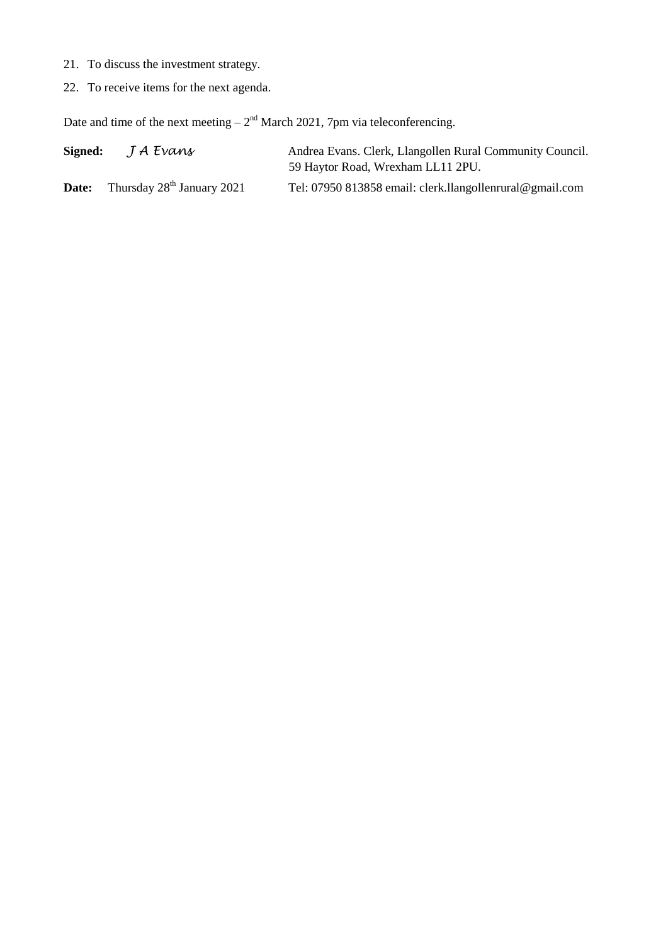- 21. To discuss the investment strategy.
- 22. To receive items for the next agenda.

Date and time of the next meeting  $-2<sup>nd</sup>$  March 2021, 7pm via teleconferencing.

| Signed: | J A Evans                    | Andrea Evans. Clerk, Llangollen Rural Community Council.<br>59 Haytor Road, Wrexham LL11 2PU. |
|---------|------------------------------|-----------------------------------------------------------------------------------------------|
| Date:   | Thursday $28th$ January 2021 | Tel: 07950 813858 email: clerk.llangollenrural@gmail.com                                      |